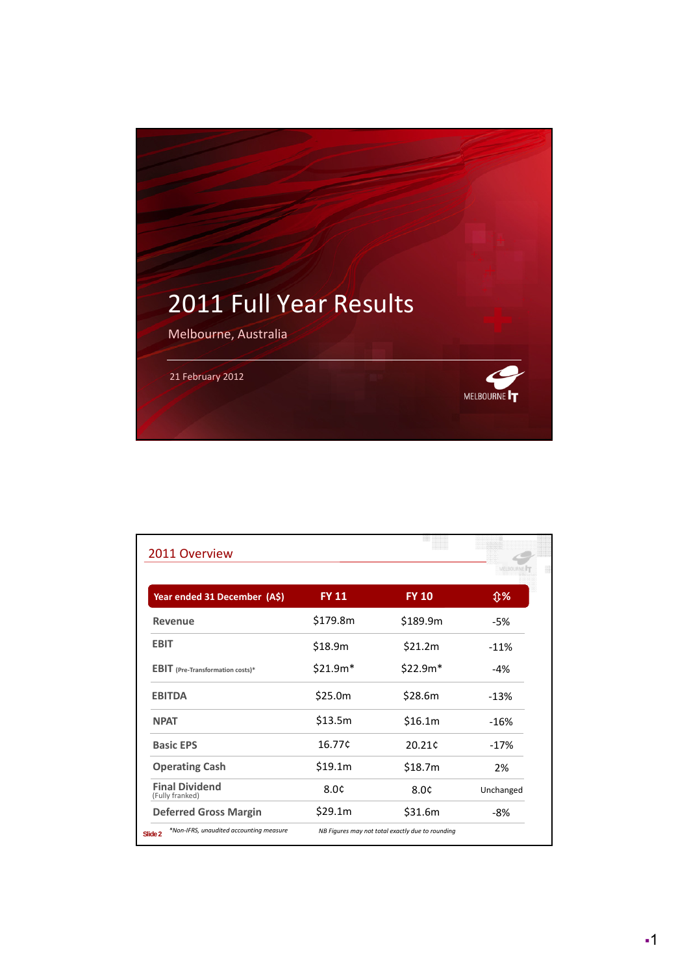

| Year ended 31 December (A\$)             | <b>FY 11</b> | <b>FY 10</b> | <b>①%</b> |  |
|------------------------------------------|--------------|--------------|-----------|--|
| Revenue                                  | \$179.8m     | \$189.9m     | -5%       |  |
| <b>EBIT</b>                              | \$18.9m      | \$21.2m      | $-11%$    |  |
| <b>EBIT</b> (Pre-Transformation costs)*  | $$21.9m*$    | $$22.9m*$    | $-4%$     |  |
| <b>EBITDA</b>                            | \$25.0m      | \$28.6m      | $-13%$    |  |
| <b>NPAT</b>                              | \$13.5m      | \$16.1m      | $-16%$    |  |
| <b>Basic EPS</b>                         | 16.77¢       | 20.21¢       | $-17%$    |  |
| <b>Operating Cash</b>                    | \$19.1m      | \$18.7m      | 2%        |  |
| <b>Final Dividend</b><br>(Fully franked) | 8.0¢         | 8.0¢         | Unchanged |  |
| <b>Deferred Gross Margin</b>             | \$29.1m      | \$31.6m      | -8%       |  |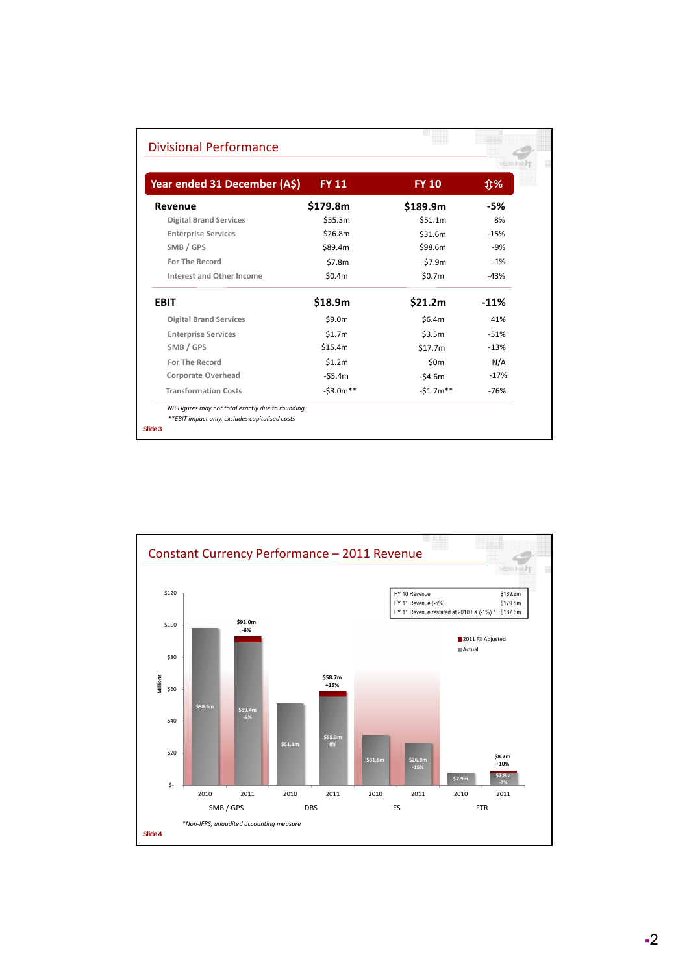|                               |              |                 | MELBOURNE |  |
|-------------------------------|--------------|-----------------|-----------|--|
| Year ended 31 December (A\$)  | <b>FY 11</b> | <b>FY 10</b>    | <b>Û%</b> |  |
| Revenue                       | \$179.8m     | \$189.9m        | -5%       |  |
| <b>Digital Brand Services</b> | \$55.3m      | \$51.1m         | 8%        |  |
| <b>Enterprise Services</b>    | \$26.8m      | \$31.6m         | $-15%$    |  |
| SMB / GPS                     | \$89.4m      | \$98.6m         | $-9%$     |  |
| <b>For The Record</b>         | \$7.8m       | \$7.9m          | $-1%$     |  |
| Interest and Other Income     | \$0.4m       | \$0.7m          | $-43%$    |  |
| <b>EBIT</b>                   | \$18.9m      | \$21.2m         | $-11%$    |  |
| <b>Digital Brand Services</b> | \$9.0m       | \$6.4m\$        | 41%       |  |
| <b>Enterprise Services</b>    | \$1.7m       | \$3.5m          | $-51%$    |  |
| SMB / GPS                     | \$15.4m      | \$17.7m         | $-13%$    |  |
| For The Record                | \$1.2m       | 50 <sub>m</sub> | N/A       |  |
| <b>Corporate Overhead</b>     | $-55.4m$     | $-54.6m$        | $-17%$    |  |
| <b>Transformation Costs</b>   | $-53.0m**$   | $-51.7m**$      | $-76%$    |  |

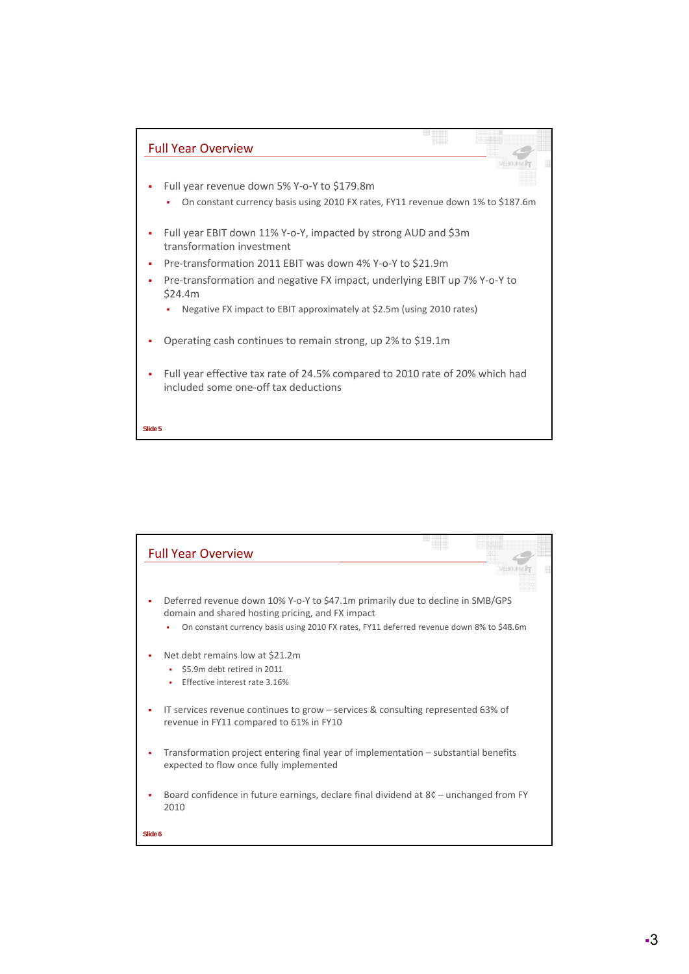

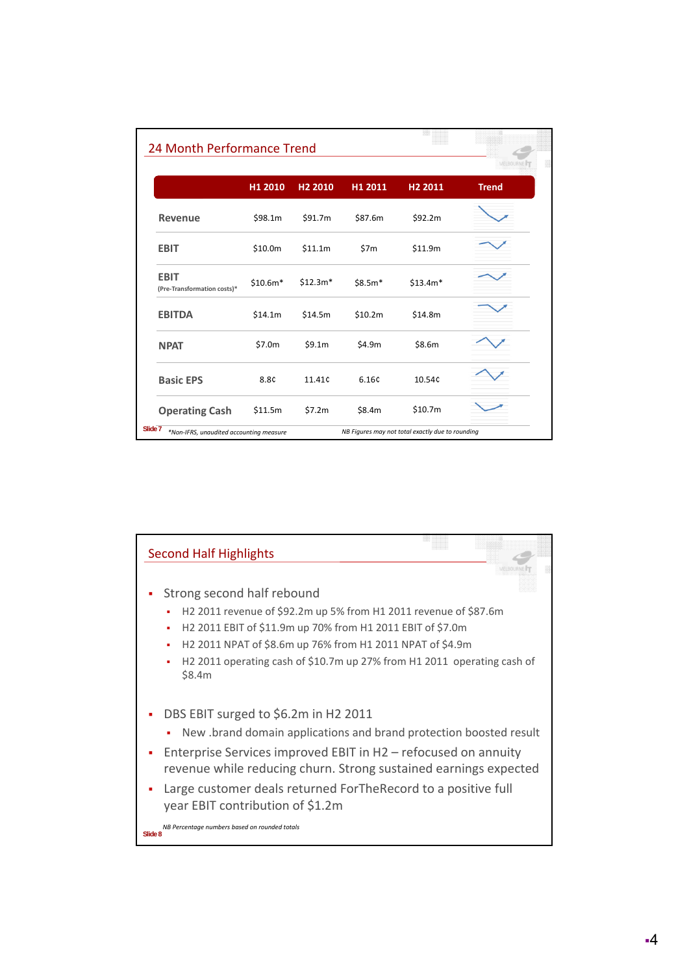|                                            |           |                     |          |                     | MELBOURNE <sup>1</sup> |
|--------------------------------------------|-----------|---------------------|----------|---------------------|------------------------|
|                                            | H1 2010   | H <sub>2</sub> 2010 | H1 2011  | H <sub>2</sub> 2011 | <b>Trend</b>           |
| <b>Revenue</b>                             | \$98.1m   | \$91.7m             | \$87.6m  | \$92.2m             |                        |
| <b>EBIT</b>                                | \$10.0m   | \$11.1m             | \$7m     | \$11.9m             |                        |
| <b>EBIT</b><br>(Pre-Transformation costs)* | $$10.6m*$ | $$12.3m*$           | $$8.5m*$ | $$13.4m*$           |                        |
| <b>EBITDA</b>                              | \$14.1m   | \$14.5m             | \$10.2m  | \$14.8m             |                        |
| <b>NPAT</b>                                | \$7.0m    | \$9.1m              | \$4.9m   | \$8.6m              |                        |
| <b>Basic EPS</b>                           | 8.8C      | 11.41 <sup>c</sup>  | 6.16¢    | 10.54c              |                        |
| <b>Operating Cash</b>                      | \$11.5m   | \$7.2m              | \$8.4m   | \$10.7m             |                        |

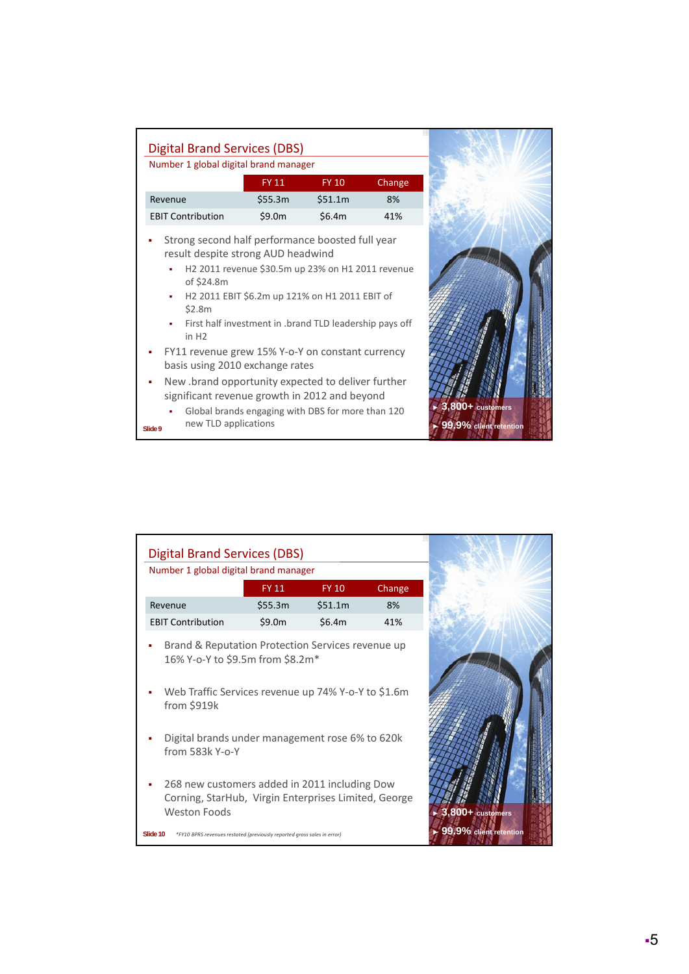| Number 1 global digital brand manager                                                                                                                                                     |                                                                                                                                                                                        |              |        |                                                             |
|-------------------------------------------------------------------------------------------------------------------------------------------------------------------------------------------|----------------------------------------------------------------------------------------------------------------------------------------------------------------------------------------|--------------|--------|-------------------------------------------------------------|
|                                                                                                                                                                                           | <b>FY 11</b>                                                                                                                                                                           | <b>FY 10</b> | Change |                                                             |
| Revenue                                                                                                                                                                                   | \$55.3m                                                                                                                                                                                | \$51.1m      | 8%     |                                                             |
| <b>EBIT Contribution</b>                                                                                                                                                                  | \$9.0m                                                                                                                                                                                 | \$6.4m       | 41%    |                                                             |
| ٠<br>of \$24.8m<br>×<br>\$2.8m<br>in H2                                                                                                                                                   | H2 2011 revenue \$30.5m up 23% on H1 2011 revenue<br>H <sub>2</sub> 2011 EBIT \$6.2m up 121% on H <sub>1</sub> 2011 EBIT of<br>First half investment in .brand TLD leadership pays off |              |        |                                                             |
| FY11 revenue grew 15% Y-o-Y on constant currency<br>basis using 2010 exchange rates<br>New brand opportunity expected to deliver further<br>significant revenue growth in 2012 and beyond |                                                                                                                                                                                        |              |        |                                                             |
| new TLD applications<br>Slide 9                                                                                                                                                           | Global brands engaging with DBS for more than 120                                                                                                                                      |              |        | $\triangleright$ 3,800+ customers<br>99.9% client retention |

| <b>Digital Brand Services (DBS)</b><br>Number 1 global digital brand manager                                                                                |                                                                         |              |        |                        |
|-------------------------------------------------------------------------------------------------------------------------------------------------------------|-------------------------------------------------------------------------|--------------|--------|------------------------|
|                                                                                                                                                             | <b>FY 11</b>                                                            | <b>FY 10</b> | Change |                        |
| Revenue                                                                                                                                                     | \$55.3m                                                                 | \$51.1m      | 8%     |                        |
| <b>EBIT Contribution</b>                                                                                                                                    | \$9.0m                                                                  | \$6.4m       | 41%    |                        |
| Brand & Reputation Protection Services revenue up<br>16% Y-o-Y to \$9.5m from \$8.2m*<br>Web Traffic Services revenue up 74% Y-o-Y to \$1.6m<br>from \$919k |                                                                         |              |        |                        |
| Digital brands under management rose 6% to 620k<br>from 583k Y-o-Y                                                                                          |                                                                         |              |        |                        |
| 268 new customers added in 2011 including Dow<br>Corning, StarHub, Virgin Enterprises Limited, George<br><b>Weston Foods</b>                                |                                                                         |              |        | 3,800+ customers       |
| Slide 10                                                                                                                                                    | *FY10 BPRS revenues restated (previously reported gross sales in error) |              |        | 99.9% client retention |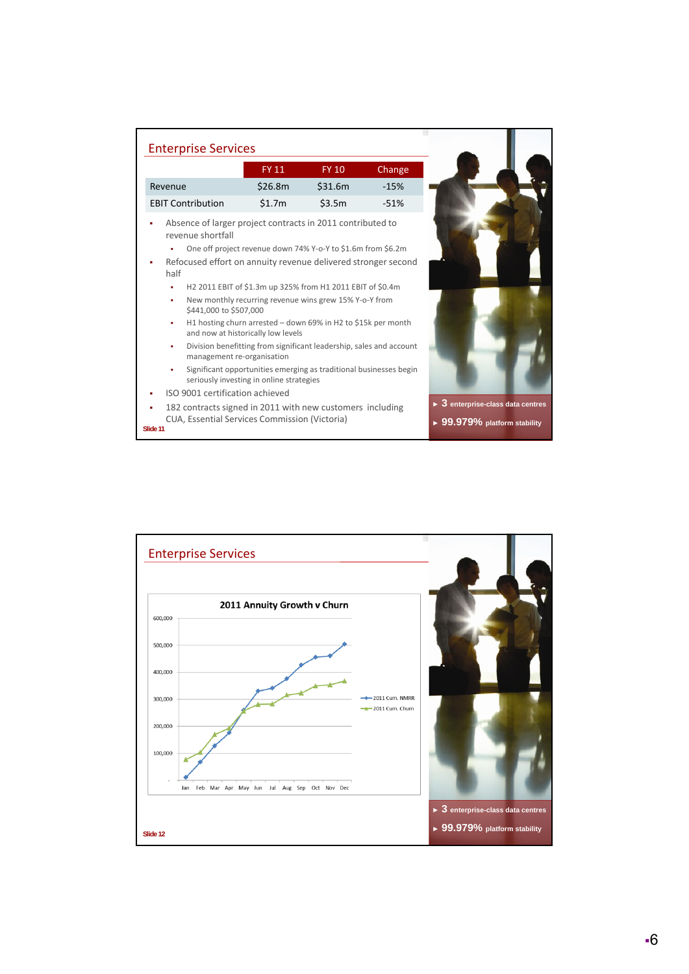| <b>Enterprise Services</b>                                                                                                                               |                                          |                                                                                                                      |        |
|----------------------------------------------------------------------------------------------------------------------------------------------------------|------------------------------------------|----------------------------------------------------------------------------------------------------------------------|--------|
|                                                                                                                                                          | <b>FY 11</b>                             | <b>FY 10</b>                                                                                                         | Change |
| Revenue                                                                                                                                                  | \$26.8m                                  | \$31.6m                                                                                                              | $-15%$ |
| <b>EBIT Contribution</b>                                                                                                                                 | \$1.7m                                   | \$3.5m                                                                                                               | $-51%$ |
| Absence of larger project contracts in 2011 contributed to<br>revenue shortfall<br>Refocused effort on annuity revenue delivered stronger second<br>half |                                          | One off project revenue down 74% Y-o-Y to \$1.6m from \$6.2m                                                         |        |
| ٠<br>٠<br>\$441,000 to \$507,000                                                                                                                         |                                          | H2 2011 EBIT of \$1.3m up 325% from H1 2011 EBIT of \$0.4m<br>New monthly recurring revenue wins grew 15% Y-o-Y from |        |
| ٠                                                                                                                                                        | and now at historically low levels       | H1 hosting churn arrested – down 69% in H2 to \$15k per month                                                        |        |
| ٠<br>management re-organisation                                                                                                                          |                                          | Division benefitting from significant leadership, sales and account                                                  |        |
| ٠                                                                                                                                                        | seriously investing in online strategies | Significant opportunities emerging as traditional businesses begin                                                   |        |
| ISO 9001 certification achieved                                                                                                                          |                                          |                                                                                                                      |        |
| 182 contracts signed in 2011 with new customers including<br>CUA, Essential Services Commission (Victoria)<br><b>Slide 11</b>                            |                                          |                                                                                                                      |        |

Ŷ

**Slide 11**

Enterprise Services 2011 Annuity Growth v Churn 600,000 500,000 400,000 300,000  $-2011$  Cum. NMRR  $-2011$  Cum. Churn 200,000 100,000  $\overline{R}$ k Jan Feb Mar Apr May Jun Jul Aug Sep Oct Nov Dec ► **3 enterprise-class data centres** ► **99.979% platform stabilitySlide 12**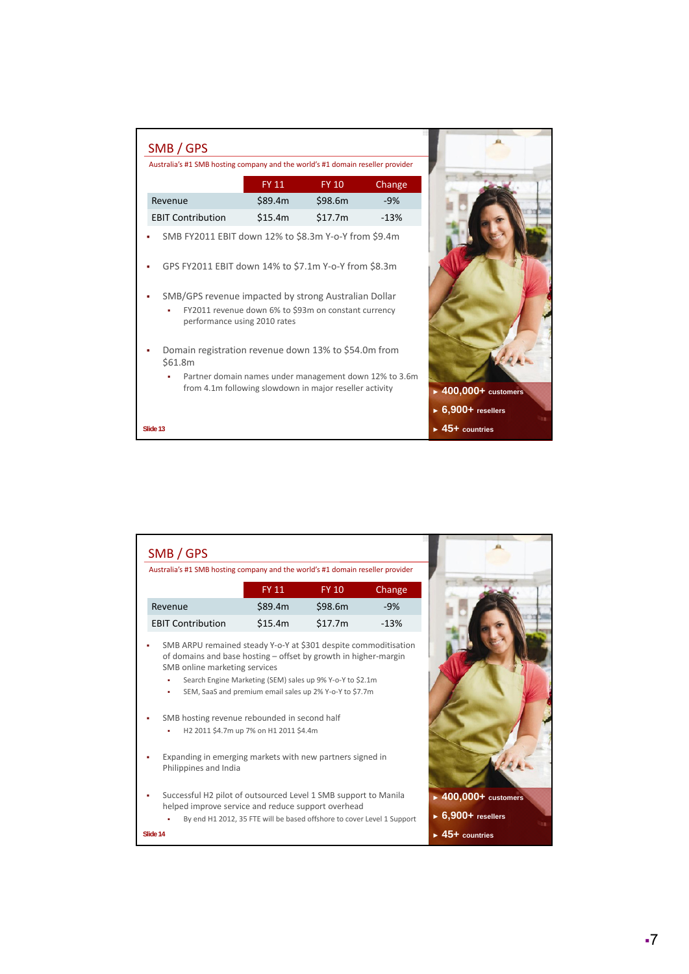|                                                                                                                                                                                                                                                              |              | Australia's #1 SMB hosting company and the world's #1 domain reseller provider |        |
|--------------------------------------------------------------------------------------------------------------------------------------------------------------------------------------------------------------------------------------------------------------|--------------|--------------------------------------------------------------------------------|--------|
|                                                                                                                                                                                                                                                              | <b>FY 11</b> | <b>FY 10</b>                                                                   | Change |
| Revenue                                                                                                                                                                                                                                                      | \$89.4m      | \$98.6m                                                                        | $-9%$  |
| <b>EBIT Contribution</b>                                                                                                                                                                                                                                     | \$15.4m      | \$17.7m                                                                        | $-13%$ |
| SMB FY2011 EBIT down 12% to \$8.3m Y-o-Y from \$9.4m<br>GPS FY2011 EBIT down 14% to \$7.1m Y-o-Y from \$8.3m<br>SMB/GPS revenue impacted by strong Australian Dollar<br>FY2011 revenue down 6% to \$93m on constant currency<br>performance using 2010 rates |              |                                                                                |        |
| Domain registration revenue down 13% to \$54.0m from<br>\$61.8m<br>Partner domain names under management down 12% to 3.6m<br>from 4.1m following slowdown in major reseller activity                                                                         |              |                                                                                |        |

| SMB / GPS                                                                                                                                                           |                                                                                                                      |              |        |
|---------------------------------------------------------------------------------------------------------------------------------------------------------------------|----------------------------------------------------------------------------------------------------------------------|--------------|--------|
| Australia's #1 SMB hosting company and the world's #1 domain reseller provider                                                                                      |                                                                                                                      |              |        |
|                                                                                                                                                                     | <b>FY 11</b>                                                                                                         | <b>FY 10</b> | Change |
| Revenue                                                                                                                                                             | \$89.4m                                                                                                              | \$98.6m      | $-9%$  |
| <b>EBIT Contribution</b>                                                                                                                                            | \$15.4m                                                                                                              | \$17.7m      | $-13%$ |
| SMB ARPU remained steady Y-o-Y at \$301 despite commoditisation<br>of domains and base hosting – offset by growth in higher-margin<br>SMB online marketing services | Search Engine Marketing (SEM) sales up 9% Y-o-Y to \$2.1m<br>SEM, SaaS and premium email sales up 2% Y-o-Y to \$7.7m |              |        |
| SMB hosting revenue rebounded in second half                                                                                                                        | H2 2011 \$4.7m up 7% on H1 2011 \$4.4m                                                                               |              |        |
| Expanding in emerging markets with new partners signed in<br>Philippines and India                                                                                  |                                                                                                                      |              |        |
| Successful H2 pilot of outsourced Level 1 SMB support to Manila<br>helped improve service and reduce support overhead                                               |                                                                                                                      |              |        |
|                                                                                                                                                                     | By end H1 2012, 35 FTE will be based offshore to cover Level 1 Support                                               |              |        |
| Slide 14                                                                                                                                                            |                                                                                                                      |              |        |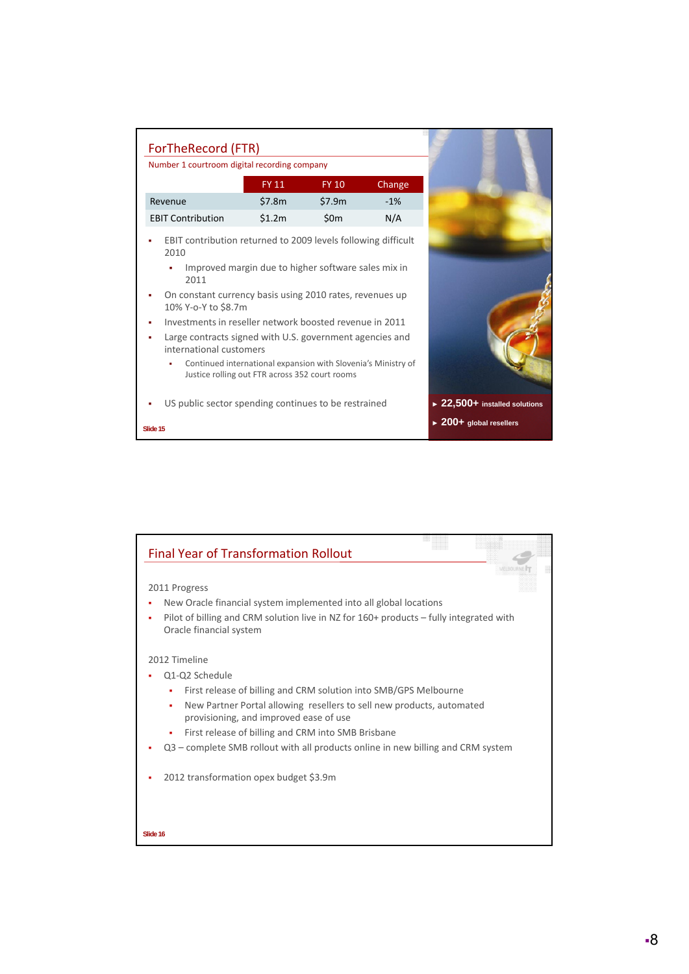| Number 1 courtroom digital recording company                                        |                                                                                                                 |                 |        |                                              |
|-------------------------------------------------------------------------------------|-----------------------------------------------------------------------------------------------------------------|-----------------|--------|----------------------------------------------|
|                                                                                     | <b>FY 11</b>                                                                                                    | <b>FY 10</b>    | Change |                                              |
| Revenue                                                                             | \$7.8m                                                                                                          | \$7.9m          | $-1%$  |                                              |
| <b>EBIT Contribution</b>                                                            | \$1.2m                                                                                                          | 50 <sub>m</sub> | N/A    |                                              |
| EBIT contribution returned to 2009 levels following difficult<br>2010               | Improved margin due to higher software sales mix in                                                             |                 |        |                                              |
| 2011                                                                                |                                                                                                                 |                 |        |                                              |
| On constant currency basis using 2010 rates, revenues up<br>10% Y-o-Y to \$8.7m     |                                                                                                                 |                 |        |                                              |
| Investments in reseller network boosted revenue in 2011                             |                                                                                                                 |                 |        |                                              |
| Large contracts signed with U.S. government agencies and<br>international customers |                                                                                                                 |                 |        |                                              |
| ٠                                                                                   | Continued international expansion with Slovenia's Ministry of<br>Justice rolling out FTR across 352 court rooms |                 |        |                                              |
| US public sector spending continues to be restrained                                |                                                                                                                 |                 |        | $\triangleright$ 22,500+ installed solutions |
|                                                                                     |                                                                                                                 |                 |        | $\triangleright$ 200+ global resellers       |

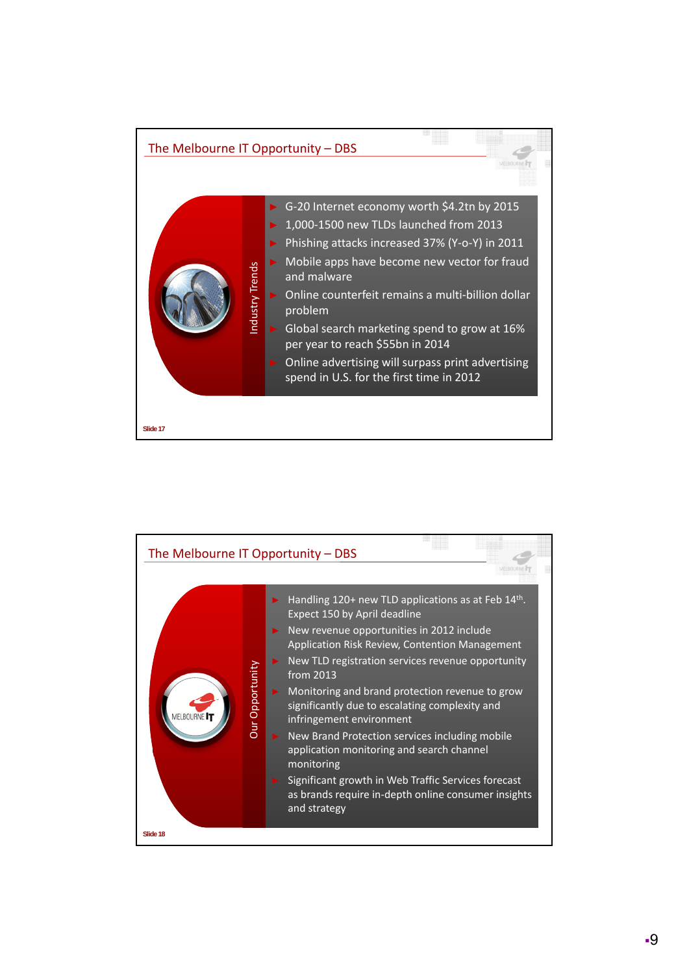

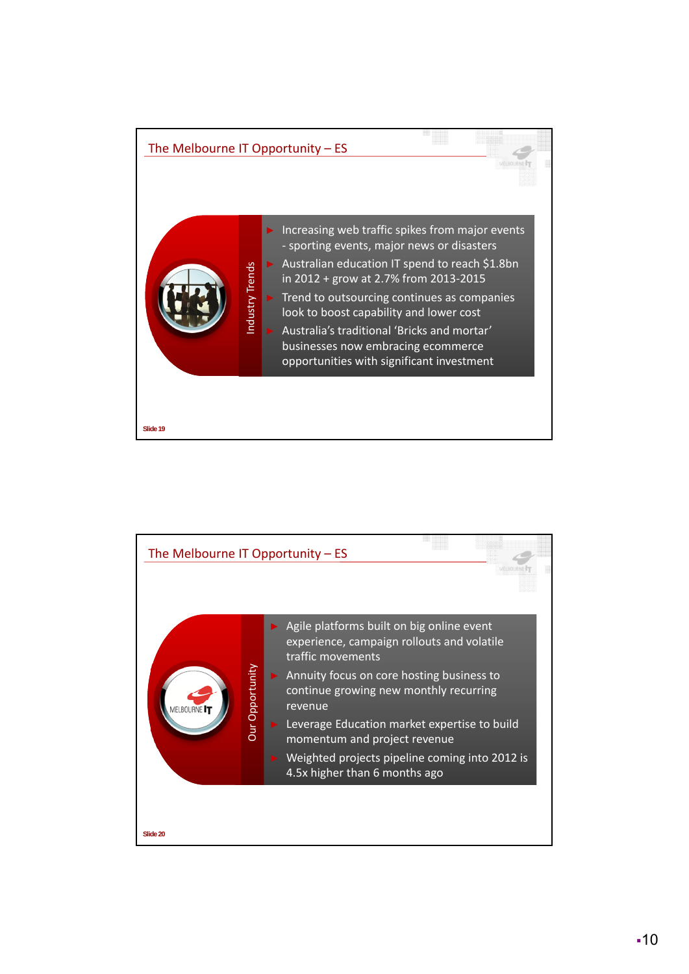

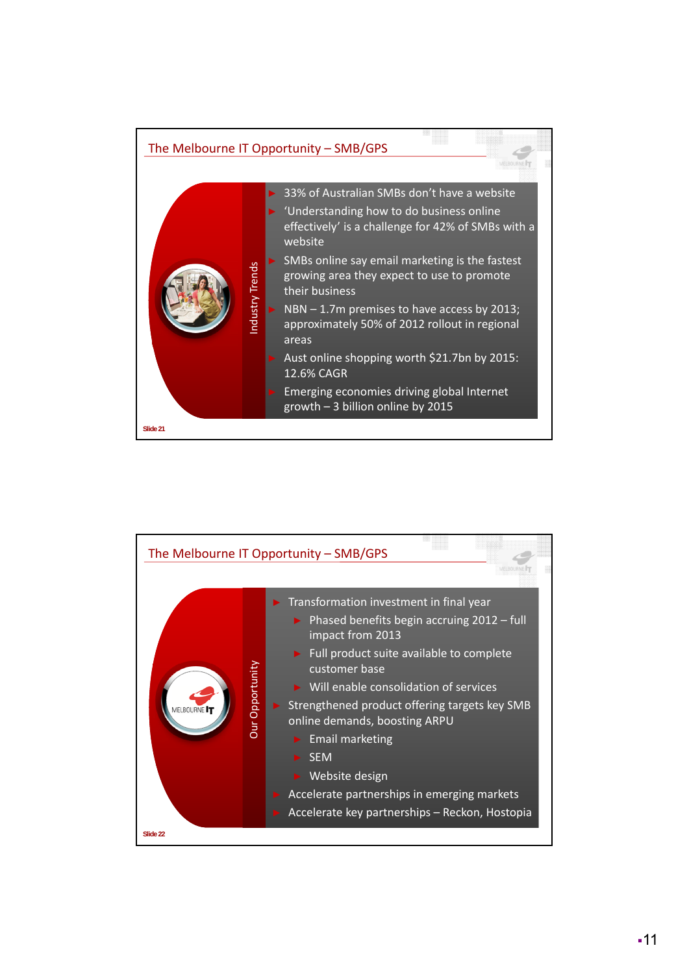

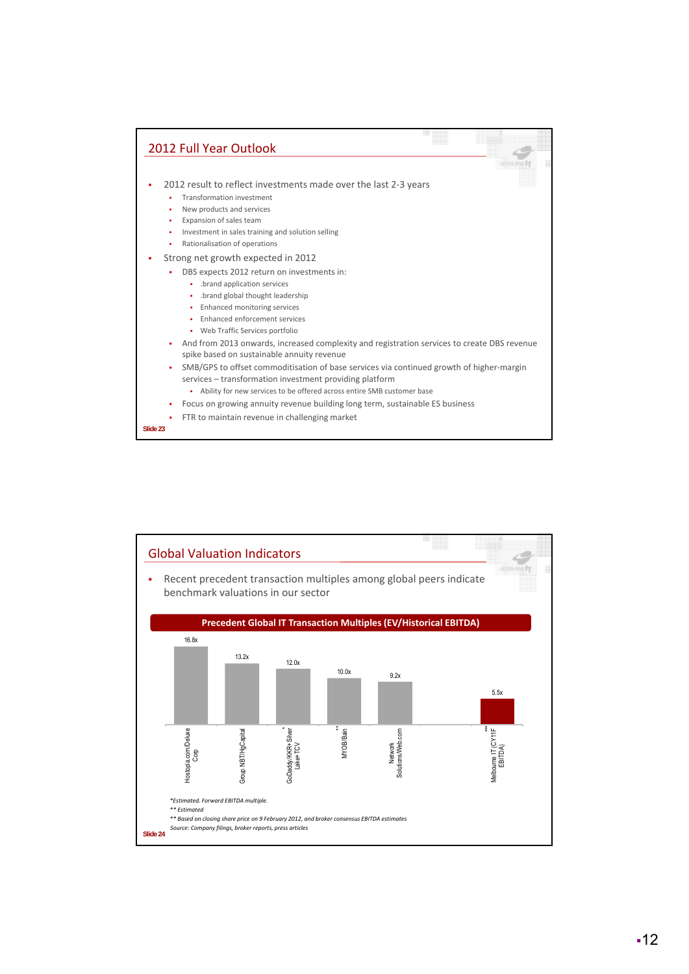

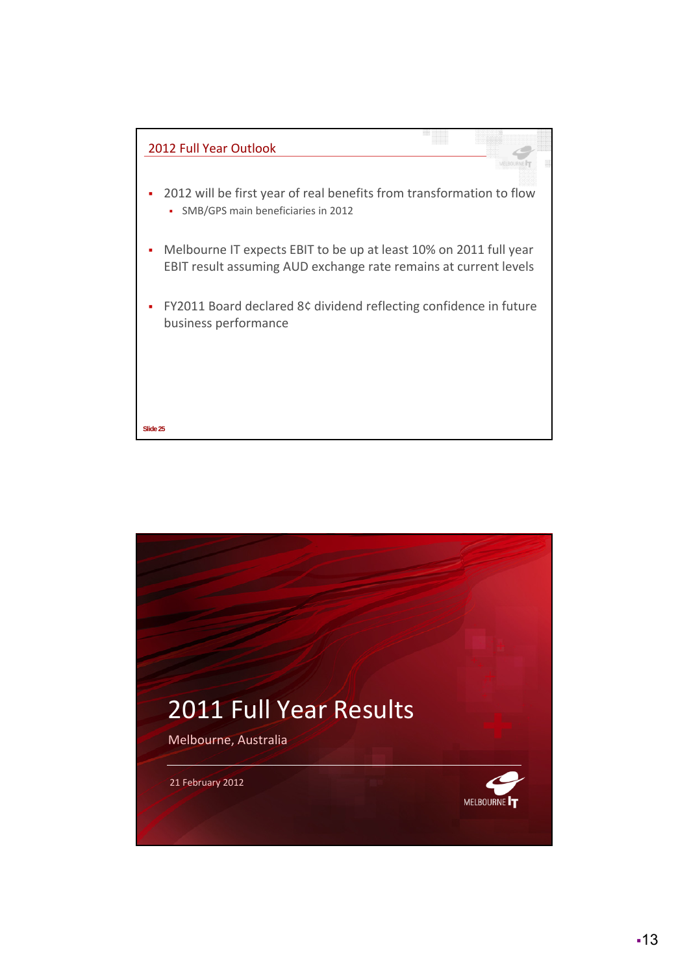

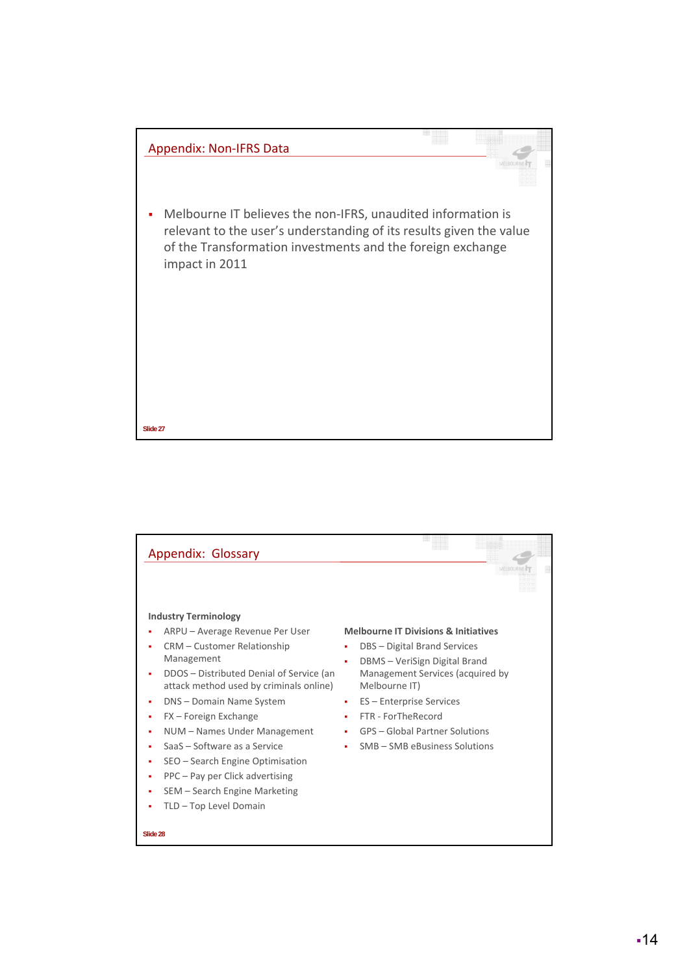